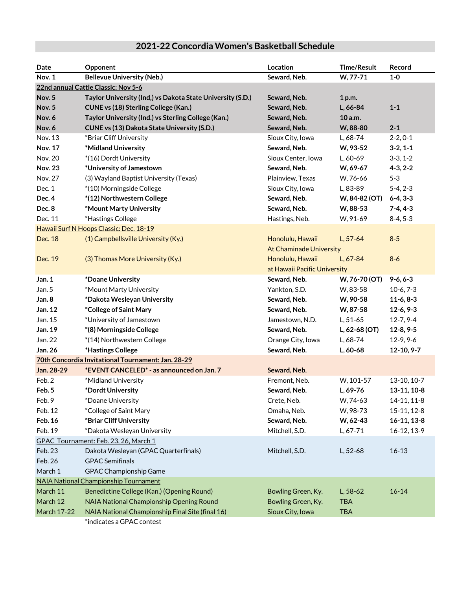## **Date Opponent Location Time/Result Record Nov. 1 Bellevue University (Neb.) Seward, Neb. W, 77-71 1-0 22nd annual Cattle Classic: Nov 5-6 Nov. 5 Taylor University (Ind,) vs Dakota State University (S.D.) Seward, Neb. 1 p.m. Nov. 5 CUNE vs (18) Sterling College (Kan.) Seward, Neb. L, 66-84 1-1 Nov. 6 Taylor University (Ind.) vs Sterling College (Kan.) Seward, Neb. 10 a.m. Nov. 6 CUNE vs (13) Dakota State University (S.D.) Seward, Neb. W, 88-80 2-1** Nov. 13 \*Briar Cliff University Sioux City, Iowa L, 68-74 2-2, 0-1 **Nov. 17 \*Midland University Seward, Neb. W, 93-52 3-2, 1-1** Nov. 20  $*(16)$  Dordt University Sioux Center, Iowa L, 60-69 3-3, 1-2 **Nov. 23 \*University of Jamestown Seward, Neb. W, 69-67 4-3, 2-2** Nov. 27 (3) Wayland Baptist University (Texas) Plainview, Texas W, 76-66 5-3 Dec. 1  $*(10)$  Morningside College Sioux City, Iowa L, 83-89 5-4, 2-3 **Dec. 4 \*(12) Northwestern College Seward, Neb. W, 84-82 (OT) 6-4, 3-3 Dec. 8**  $\bullet$  \*Mount Marty University  $\bullet$  **Seward, Neb.** W, 88-53 7-4, 4-3 Dec. 11  $*$ Hastings College Hastings Australian Hastings, Neb. W, 91-69 8-4, 5-3 Hawaii Surf N Hoops Classic: Dec. 18-19 Dec. 18 (1) Campbellsville University (Ky.) Honolulu, Hawaii L, 57-64 8-5 At Chaminade University Dec. 19 (3) Thomas More University (Ky.) (Butcher and Honolulu, Hawaii L, 67-84 8-6 at Hawaii Pacific University **Jan. 1 \*Doane University Seward, Neb. W, 76-70 (OT) 9-6, 6-3** Jan. 5 \*Mount Marty University Yankton, S.D. W, 83-58 10-6, 7-3 **Jan. 8 \*Dakota Wesleyan University Seward, Neb. W, 90-58 11-6, 8-3 Jan. 12 \*College of Saint Mary Seward, Neb. W, 87-58 12-6, 9-3** Jan. 15 \*University of Jamestown Jamestown, N.D. L, 51-65 12-7, 9-4 **Jan. 19 \*(8) Morningside College Seward, Neb. L, 62-68 (OT) 12-8, 9-5** Jan. 22 \*(14) Northwestern College Orange City, Iowa L, 68-74 12-9, 9-6 **Jan. 26 \*Hastings College Seward, Neb. L, 60-68 12-10, 9-7 70th Concordia Invitational Tournament: Jan. 28-29 Jan. 28-29 \*EVENT CANCELED\* - as announced on Jan. 7 Seward, Neb.** Feb. 2 \*Midland University Fremont, Neb. W, 101-57 13-10, 10-7 **Feb. 5 \*Dordt University Seward, Neb. L, 69-76 13-11, 10-8** Feb. 9 \*Doane University The Crete, Neb. M, 74-63 14-11, 11-8 Feb. 12 \*College of Saint Mary Omaha, Neb. W, 98-73 15-11, 12-8 **Feb. 16 \*Briar Cliff University Seward, Neb. W, 62-43 16-11, 13-8** Feb. 19 \*Dakota Wesleyan University Mitchell, S.D. L, 67-71 16-12, 13-9 GPAC Tournament: Feb. 23, 26, March 1 Feb. 23 Dakota Wesleyan (GPAC Quarterfinals) Mitchell, S.D. L, 52-68 16-13 Feb. 26 GPAC Semifinals March 1 GPAC Championship Game NAIA National Championship Tournament March 11 Benedictine College (Kan.) (Opening Round) Bowling Green, Ky. L, 58-62 16-14 March 12 NAIA National Championship Opening Round Bowling Green, Ky. TBA March 17-22 NAIA National Championship Final Site (final 16) Sioux City, Iowa TBA

## **2021-22 Concordia Women's Basketball Schedule**

\*indicates a GPAC contest